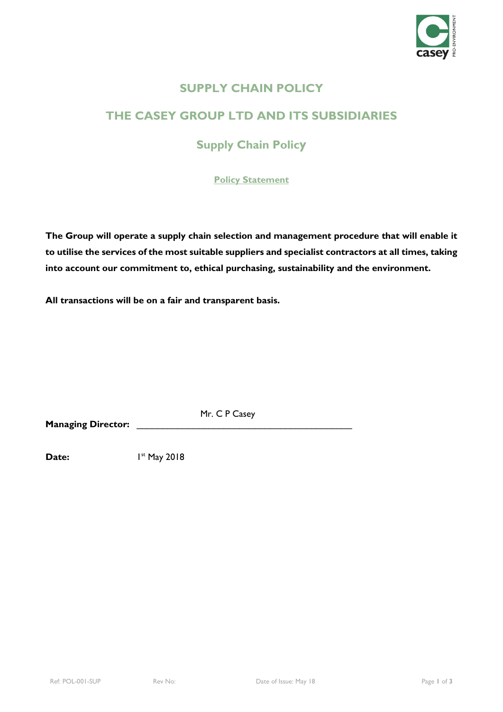

### **SUPPLY CHAIN POLICY**

## **THE CASEY GROUP LTD AND ITS SUBSIDIARIES**

# **Supply Chain Policy**

**Policy Statement**

**The Group will operate a supply chain selection and management procedure that will enable it to utilise the services of the most suitable suppliers and specialist contractors at all times, taking into account our commitment to, ethical purchasing, sustainability and the environment.**

**All transactions will be on a fair and transparent basis.**

**Managing Director:** 

Mr. C P Casey

**Date:** 1st May 2018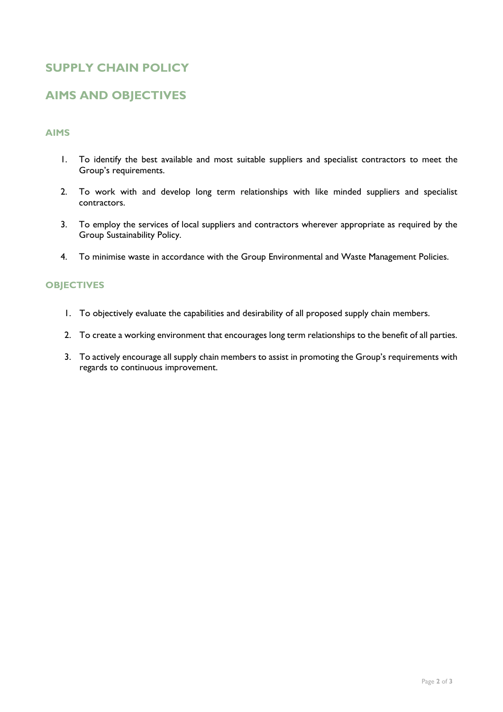### **SUPPLY CHAIN POLICY**

### **AIMS AND OBJECTIVES**

#### **AIMS**

- 1. To identify the best available and most suitable suppliers and specialist contractors to meet the Group's requirements.
- 2. To work with and develop long term relationships with like minded suppliers and specialist contractors.
- 3. To employ the services of local suppliers and contractors wherever appropriate as required by the Group Sustainability Policy.
- 4. To minimise waste in accordance with the Group Environmental and Waste Management Policies.

#### **OBJECTIVES**

- 1. To objectively evaluate the capabilities and desirability of all proposed supply chain members.
- 2. To create a working environment that encourages long term relationships to the benefit of all parties.
- 3. To actively encourage all supply chain members to assist in promoting the Group's requirements with regards to continuous improvement.